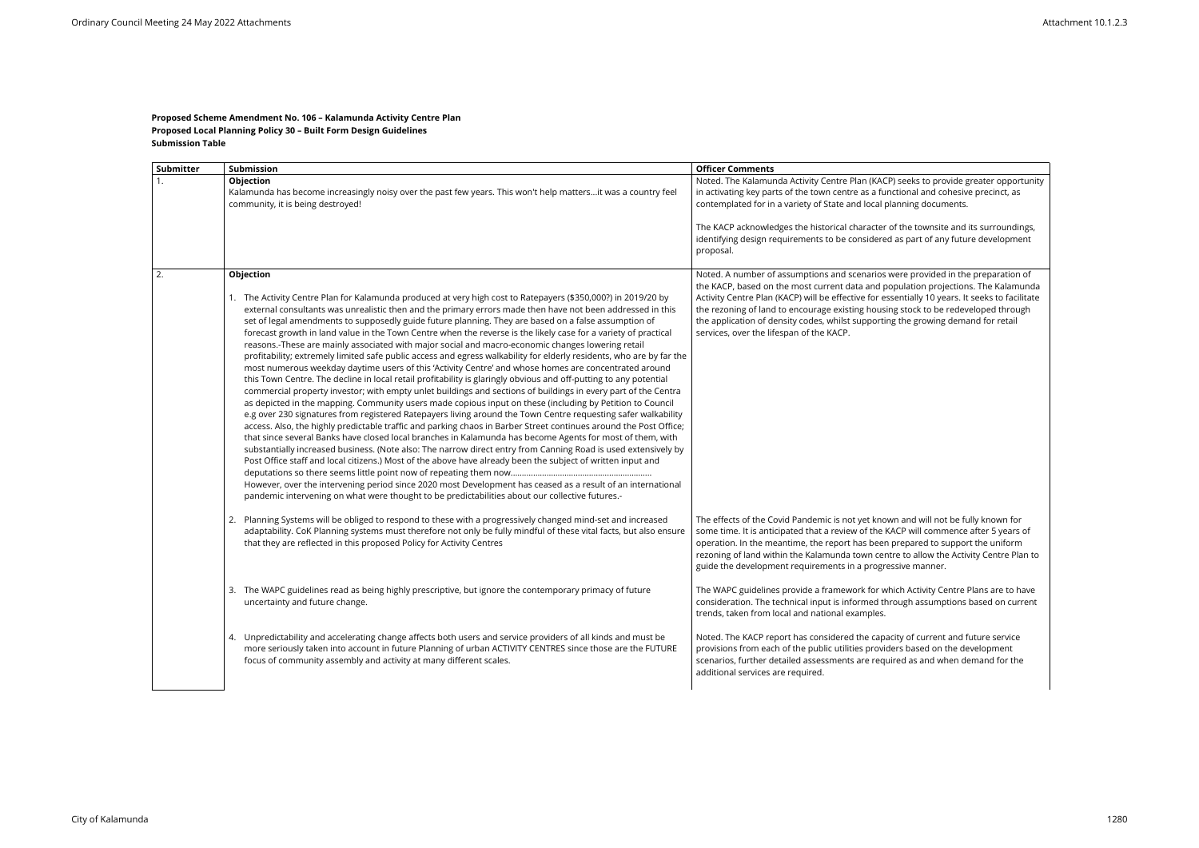## **Proposed Scheme Amendment No. 106 – Kalamunda Activity Centre Plan Proposed Local Planning Policy 30 – Built Form Design Guidelines Submission Table**

| Submitter | Submission                                                                                                                                                                                                                                                                                                                                                                                                                                                                                                                                                                                                                                                                                                                                                                                                                                                                                                                                                                                                                                                                                                                                                                                                                                                                                                                                                                                                                                                                                                                                                                                                                                                                                                                                                                                                                                                                                                                                                          | <b>Officer Comments</b>                                                                                                                                                                                                                                                                                                              |
|-----------|---------------------------------------------------------------------------------------------------------------------------------------------------------------------------------------------------------------------------------------------------------------------------------------------------------------------------------------------------------------------------------------------------------------------------------------------------------------------------------------------------------------------------------------------------------------------------------------------------------------------------------------------------------------------------------------------------------------------------------------------------------------------------------------------------------------------------------------------------------------------------------------------------------------------------------------------------------------------------------------------------------------------------------------------------------------------------------------------------------------------------------------------------------------------------------------------------------------------------------------------------------------------------------------------------------------------------------------------------------------------------------------------------------------------------------------------------------------------------------------------------------------------------------------------------------------------------------------------------------------------------------------------------------------------------------------------------------------------------------------------------------------------------------------------------------------------------------------------------------------------------------------------------------------------------------------------------------------------|--------------------------------------------------------------------------------------------------------------------------------------------------------------------------------------------------------------------------------------------------------------------------------------------------------------------------------------|
|           | Objection<br>Kalamunda has become increasingly noisy over the past few years. This won't help mattersit was a country feel<br>community, it is being destroyed!                                                                                                                                                                                                                                                                                                                                                                                                                                                                                                                                                                                                                                                                                                                                                                                                                                                                                                                                                                                                                                                                                                                                                                                                                                                                                                                                                                                                                                                                                                                                                                                                                                                                                                                                                                                                     | Noted. The Kalamunda Activity Centre Plan (KACP) se<br>in activating key parts of the town centre as a functio<br>contemplated for in a variety of State and local plann<br>The KACP acknowledges the historical character of th<br>identifying design requirements to be considered as<br>proposal.                                 |
| 2.        | Objection<br>1. The Activity Centre Plan for Kalamunda produced at very high cost to Ratepayers (\$350,000?) in 2019/20 by<br>external consultants was unrealistic then and the primary errors made then have not been addressed in this<br>set of legal amendments to supposedly guide future planning. They are based on a false assumption of<br>forecast growth in land value in the Town Centre when the reverse is the likely case for a variety of practical<br>reasons.-These are mainly associated with major social and macro-economic changes lowering retail<br>profitability; extremely limited safe public access and egress walkability for elderly residents, who are by far the<br>most numerous weekday daytime users of this 'Activity Centre' and whose homes are concentrated around<br>this Town Centre. The decline in local retail profitability is glaringly obvious and off-putting to any potential<br>commercial property investor; with empty unlet buildings and sections of buildings in every part of the Centra<br>as depicted in the mapping. Community users made copious input on these (including by Petition to Council<br>e.g over 230 signatures from registered Ratepayers living around the Town Centre requesting safer walkability<br>access. Also, the highly predictable traffic and parking chaos in Barber Street continues around the Post Office;<br>that since several Banks have closed local branches in Kalamunda has become Agents for most of them, with<br>substantially increased business. (Note also: The narrow direct entry from Canning Road is used extensively by<br>Post Office staff and local citizens.) Most of the above have already been the subject of written input and<br>However, over the intervening period since 2020 most Development has ceased as a result of an international<br>pandemic intervening on what were thought to be predictabilities about our collective futures.- | Noted. A number of assumptions and scenarios were<br>the KACP, based on the most current data and popula<br>Activity Centre Plan (KACP) will be effective for essent<br>the rezoning of land to encourage existing housing st<br>the application of density codes, whilst supporting the<br>services, over the lifespan of the KACP. |
|           | Planning Systems will be obliged to respond to these with a progressively changed mind-set and increased<br>2.<br>adaptability. CoK Planning systems must therefore not only be fully mindful of these vital facts, but also ensure<br>that they are reflected in this proposed Policy for Activity Centres                                                                                                                                                                                                                                                                                                                                                                                                                                                                                                                                                                                                                                                                                                                                                                                                                                                                                                                                                                                                                                                                                                                                                                                                                                                                                                                                                                                                                                                                                                                                                                                                                                                         | The effects of the Covid Pandemic is not yet known a<br>some time. It is anticipated that a review of the KACP<br>operation. In the meantime, the report has been prep<br>rezoning of land within the Kalamunda town centre to<br>guide the development requirements in a progressive                                                |
|           | The WAPC guidelines read as being highly prescriptive, but ignore the contemporary primacy of future<br>3.<br>uncertainty and future change.                                                                                                                                                                                                                                                                                                                                                                                                                                                                                                                                                                                                                                                                                                                                                                                                                                                                                                                                                                                                                                                                                                                                                                                                                                                                                                                                                                                                                                                                                                                                                                                                                                                                                                                                                                                                                        | The WAPC guidelines provide a framework for which<br>consideration. The technical input is informed throug<br>trends, taken from local and national examples.                                                                                                                                                                        |
|           | 4. Unpredictability and accelerating change affects both users and service providers of all kinds and must be<br>more seriously taken into account in future Planning of urban ACTIVITY CENTRES since those are the FUTURE<br>focus of community assembly and activity at many different scales.                                                                                                                                                                                                                                                                                                                                                                                                                                                                                                                                                                                                                                                                                                                                                                                                                                                                                                                                                                                                                                                                                                                                                                                                                                                                                                                                                                                                                                                                                                                                                                                                                                                                    | Noted. The KACP report has considered the capacity<br>provisions from each of the public utilities providers I<br>scenarios, further detailed assessments are required<br>additional services are required.                                                                                                                          |

eks to provide greater opportunity  $\frac{1}{2}$  and cohesive precinct, as ing documents.

The townsite and its surroundings, part of any future development

e provided in the preparation of lation projections. The Kalamunda tially 10 years. It seeks to facilitate  $\overline{\text{to}}$  to  $\overline{\text{to}}$  redeveloped through the growing demand for retail

Ind will not be fully known for will commence after 5 years of pared to support the uniform to allow the Activity Centre Plan to re manner.

Activity Centre Plans are to have gh assumptions based on current

of current and future service based on the development l as and when demand for the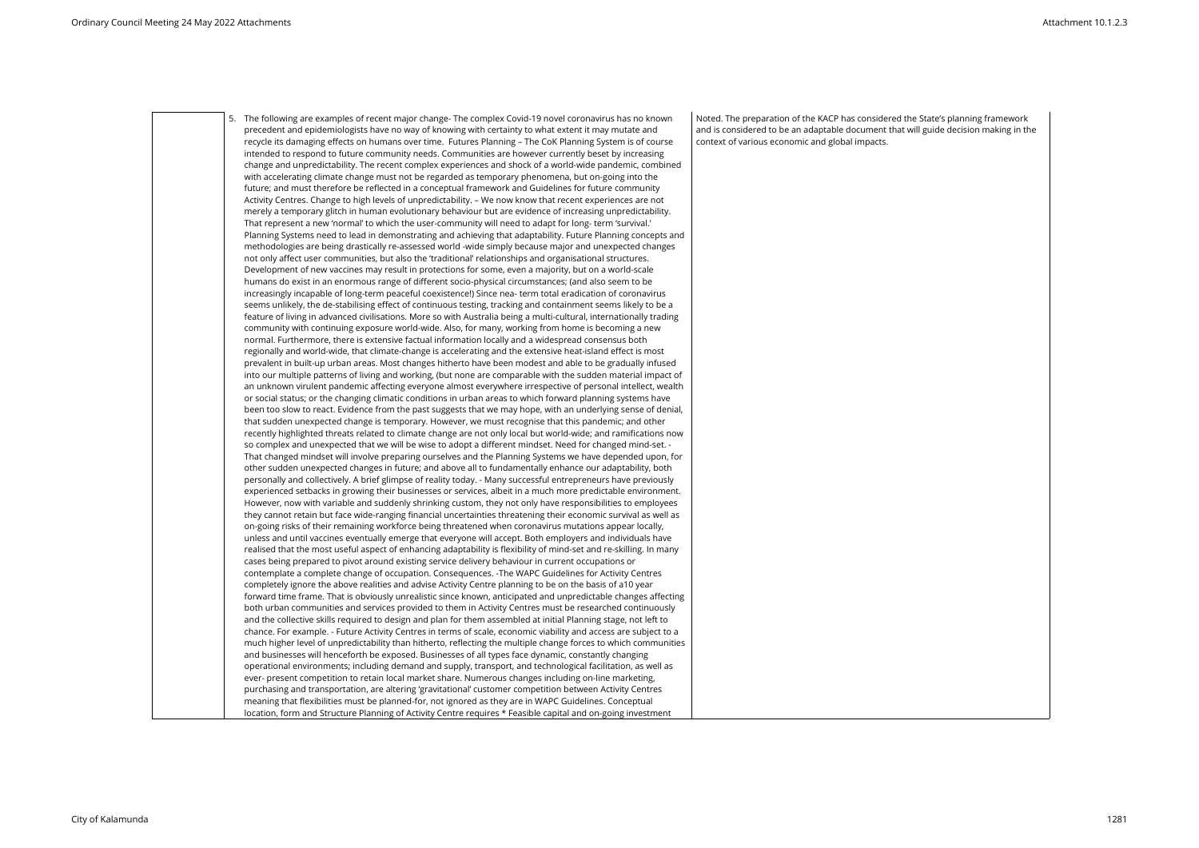5. The following are examples of recent major change- The complex Covid-19 novel coronavirus has no known precedent and epidemiologists have no way of knowing with certainty to what extent it may mutate and recycle its damaging effects on humans over time. Futures Planning – The CoK Planning System is of course intended to respond to future community needs. Communities are however currently beset by increasing change and unpredictability. The recent complex experiences and shock of a world-wide pandemic, combined with accelerating climate change must not be regarded as temporary phenomena, but on-going into the future; and must therefore be reflected in a conceptual framework and Guidelines for future community Activity Centres. Change to high levels of unpredictability. – We now know that recent experiences are not merely a temporary glitch in human evolutionary behaviour but are evidence of increasing unpredictability. That represent a new 'normal' to which the user-community will need to adapt for long- term 'survival.' Planning Systems need to lead in demonstrating and achieving that adaptability. Future Planning concepts and methodologies are being drastically re-assessed world -wide simply because major and unexpected changes not only affect user communities, but also the 'traditional' relationships and organisational structures. Development of new vaccines may result in protections for some, even a majority, but on a world-scale humans do exist in an enormous range of different socio-physical circumstances; (and also seem to be increasingly incapable of long-term peaceful coexistence!) Since nea- term total eradication of coronavirus seems unlikely, the de-stabilising effect of continuous testing, tracking and containment seems likely to be a feature of living in advanced civilisations. More so with Australia being a multi-cultural, internationally trading community with continuing exposure world-wide. Also, for many, working from home is becoming a new normal. Furthermore, there is extensive factual information locally and a widespread consensus both regionally and world-wide, that climate-change is accelerating and the extensive heat-island effect is most prevalent in built-up urban areas. Most changes hitherto have been modest and able to be gradually infused into our multiple patterns of living and working, (but none are comparable with the sudden material impact of an unknown virulent pandemic affecting everyone almost everywhere irrespective of personal intellect, wealth or social status; or the changing climatic conditions in urban areas to which forward planning systems have been too slow to react. Evidence from the past suggests that we may hope, with an underlying sense of denial, that sudden unexpected change is temporary. However, we must recognise that this pandemic; and other recently highlighted threats related to climate change are not only local but world-wide; and ramifications now so complex and unexpected that we will be wise to adopt a different mindset. Need for changed mind-set. - That changed mindset will involve preparing ourselves and the Planning Systems we have depended upon, for other sudden unexpected changes in future; and above all to fundamentally enhance our adaptability, both personally and collectively. A brief glimpse of reality today. - Many successful entrepreneurs have previously experienced setbacks in growing their businesses or services, albeit in a much more predictable environment. However, now with variable and suddenly shrinking custom, they not only have responsibilities to employees they cannot retain but face wide-ranging financial uncertainties threatening their economic survival as well as on-going risks of their remaining workforce being threatened when coronavirus mutations appear locally, unless and until vaccines eventually emerge that everyone will accept. Both employers and individuals have realised that the most useful aspect of enhancing adaptability is flexibility of mind-set and re-skilling. In many cases being prepared to pivot around existing service delivery behaviour in current occupations or contemplate a complete change of occupation. Consequences. -The WAPC Guidelines for Activity Centres completely ignore the above realities and advise Activity Centre planning to be on the basis of a10 year forward time frame. That is obviously unrealistic since known, anticipated and unpredictable changes affecting both urban communities and services provided to them in Activity Centres must be researched continuously and the collective skills required to design and plan for them assembled at initial Planning stage, not left to chance. For example. - Future Activity Centres in terms of scale, economic viability and access are subject to a much higher level of unpredictability than hitherto, reflecting the multiple change forces to which communities and businesses will henceforth be exposed. Businesses of all types face dynamic, constantly changing operational environments; including demand and supply, transport, and technological facilitation, as well as ever- present competition to retain local market share. Numerous changes including on-line marketing, purchasing and transportation, are altering 'gravitational' customer competition between Activity Centres meaning that flexibilities must be planned-for, not ignored as they are in WAPC Guidelines. Conceptual location, form and Structure Planning of Activity Centre requires \* Feasible capital and on-going investment

Noted. The preparation of the KACP has considered the State's planning framework and is considered to be an adaptable document that will guide decision making in the context of various economic and global impacts.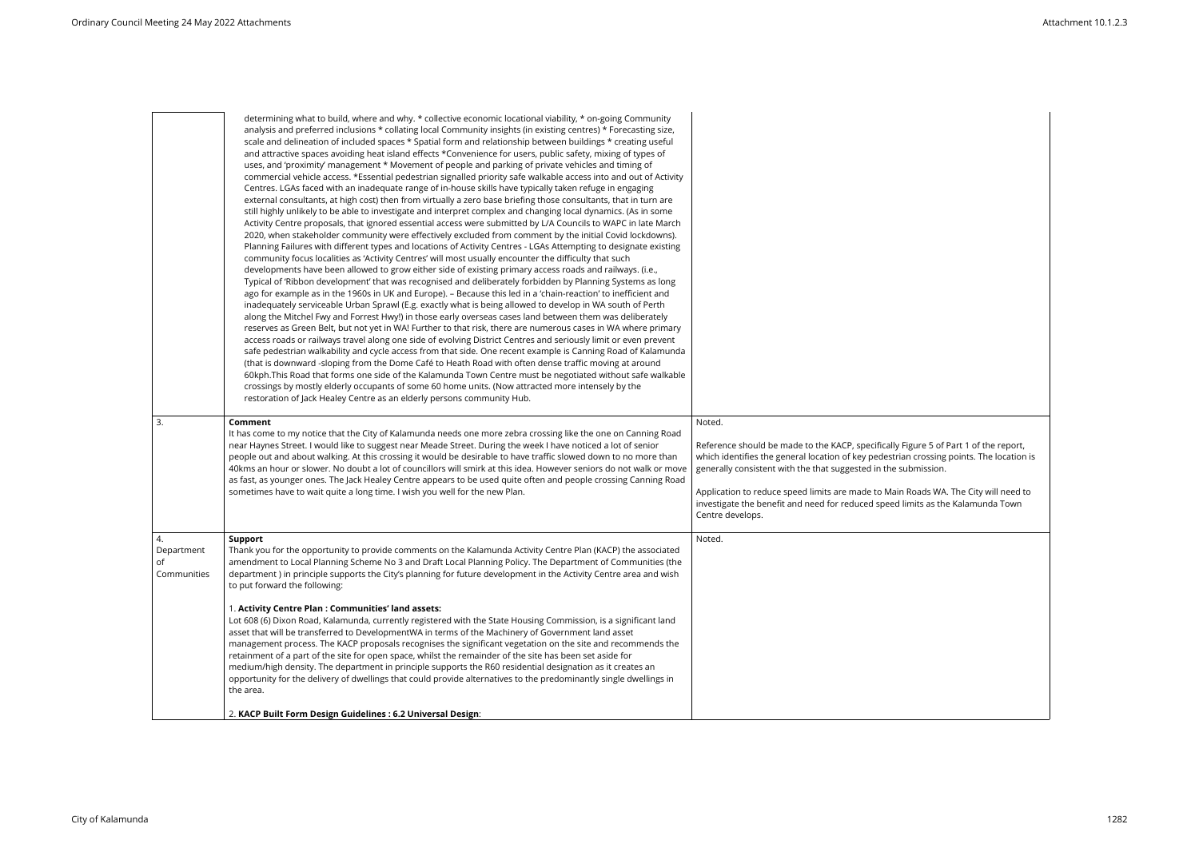|                                       | determining what to build, where and why. * collective economic locational viability, * on-going Community<br>analysis and preferred inclusions * collating local Community insights (in existing centres) * Forecasting size,<br>scale and delineation of included spaces * Spatial form and relationship between buildings * creating useful<br>and attractive spaces avoiding heat island effects *Convenience for users, public safety, mixing of types of<br>uses, and 'proximity' management * Movement of people and parking of private vehicles and timing of<br>commercial vehicle access. *Essential pedestrian signalled priority safe walkable access into and out of Activity<br>Centres. LGAs faced with an inadequate range of in-house skills have typically taken refuge in engaging<br>external consultants, at high cost) then from virtually a zero base briefing those consultants, that in turn are<br>still highly unlikely to be able to investigate and interpret complex and changing local dynamics. (As in some<br>Activity Centre proposals, that ignored essential access were submitted by L/A Councils to WAPC in late March<br>2020, when stakeholder community were effectively excluded from comment by the initial Covid lockdowns).<br>Planning Failures with different types and locations of Activity Centres - LGAs Attempting to designate existing<br>community focus localities as 'Activity Centres' will most usually encounter the difficulty that such<br>developments have been allowed to grow either side of existing primary access roads and railways. (i.e.,<br>Typical of 'Ribbon development' that was recognised and deliberately forbidden by Planning Systems as long<br>ago for example as in the 1960s in UK and Europe). - Because this led in a 'chain-reaction' to inefficient and<br>inadequately serviceable Urban Sprawl (E.g. exactly what is being allowed to develop in WA south of Perth<br>along the Mitchel Fwy and Forrest Hwy!) in those early overseas cases land between them was deliberately<br>reserves as Green Belt, but not yet in WA! Further to that risk, there are numerous cases in WA where primary<br>access roads or railways travel along one side of evolving District Centres and seriously limit or even prevent<br>safe pedestrian walkability and cycle access from that side. One recent example is Canning Road of Kalamunda<br>(that is downward -sloping from the Dome Café to Heath Road with often dense traffic moving at around<br>60kph. This Road that forms one side of the Kalamunda Town Centre must be negotiated without safe walkable<br>crossings by mostly elderly occupants of some 60 home units. (Now attracted more intensely by the<br>restoration of Jack Healey Centre as an elderly persons community Hub. |                                                                                                                                                                                                                                                                                                                                                                                                                                                             |
|---------------------------------------|--------------------------------------------------------------------------------------------------------------------------------------------------------------------------------------------------------------------------------------------------------------------------------------------------------------------------------------------------------------------------------------------------------------------------------------------------------------------------------------------------------------------------------------------------------------------------------------------------------------------------------------------------------------------------------------------------------------------------------------------------------------------------------------------------------------------------------------------------------------------------------------------------------------------------------------------------------------------------------------------------------------------------------------------------------------------------------------------------------------------------------------------------------------------------------------------------------------------------------------------------------------------------------------------------------------------------------------------------------------------------------------------------------------------------------------------------------------------------------------------------------------------------------------------------------------------------------------------------------------------------------------------------------------------------------------------------------------------------------------------------------------------------------------------------------------------------------------------------------------------------------------------------------------------------------------------------------------------------------------------------------------------------------------------------------------------------------------------------------------------------------------------------------------------------------------------------------------------------------------------------------------------------------------------------------------------------------------------------------------------------------------------------------------------------------------------------------------------------------------------------------------------------------------------------------------------------------------------------------------------------------------------------------------------------------------------------------------------------------------------------------------------------------------------------------------------------------------|-------------------------------------------------------------------------------------------------------------------------------------------------------------------------------------------------------------------------------------------------------------------------------------------------------------------------------------------------------------------------------------------------------------------------------------------------------------|
| 3.                                    | Comment<br>It has come to my notice that the City of Kalamunda needs one more zebra crossing like the one on Canning Road<br>near Haynes Street. I would like to suggest near Meade Street. During the week I have noticed a lot of senior<br>people out and about walking. At this crossing it would be desirable to have traffic slowed down to no more than<br>40kms an hour or slower. No doubt a lot of councillors will smirk at this idea. However seniors do not walk or move<br>as fast, as younger ones. The Jack Healey Centre appears to be used quite often and people crossing Canning Road<br>sometimes have to wait quite a long time. I wish you well for the new Plan.                                                                                                                                                                                                                                                                                                                                                                                                                                                                                                                                                                                                                                                                                                                                                                                                                                                                                                                                                                                                                                                                                                                                                                                                                                                                                                                                                                                                                                                                                                                                                                                                                                                                                                                                                                                                                                                                                                                                                                                                                                                                                                                                             | Noted.<br>Reference should be made to the KACP, specifically Figure 5 of Part 1 of the report,<br>which identifies the general location of key pedestrian crossing points. The location is<br>generally consistent with the that suggested in the submission.<br>Application to reduce speed limits are made to Main Roads WA. The City will need to<br>investigate the benefit and need for reduced speed limits as the Kalamunda Town<br>Centre develops. |
| 4.<br>Department<br>of<br>Communities | <b>Support</b><br>Thank you for the opportunity to provide comments on the Kalamunda Activity Centre Plan (KACP) the associated<br>amendment to Local Planning Scheme No 3 and Draft Local Planning Policy. The Department of Communities (the<br>department) in principle supports the City's planning for future development in the Activity Centre area and wish<br>to put forward the following:<br>1. Activity Centre Plan : Communities' land assets:<br>Lot 608 (6) Dixon Road, Kalamunda, currently registered with the State Housing Commission, is a significant land<br>asset that will be transferred to DevelopmentWA in terms of the Machinery of Government land asset<br>management process. The KACP proposals recognises the significant vegetation on the site and recommends the<br>retainment of a part of the site for open space, whilst the remainder of the site has been set aside for<br>medium/high density. The department in principle supports the R60 residential designation as it creates an<br>opportunity for the delivery of dwellings that could provide alternatives to the predominantly single dwellings in<br>the area.<br>2. KACP Built Form Design Guidelines : 6.2 Universal Design:                                                                                                                                                                                                                                                                                                                                                                                                                                                                                                                                                                                                                                                                                                                                                                                                                                                                                                                                                                                                                                                                                                                                                                                                                                                                                                                                                                                                                                                                                                                                                                                                    | Noted.                                                                                                                                                                                                                                                                                                                                                                                                                                                      |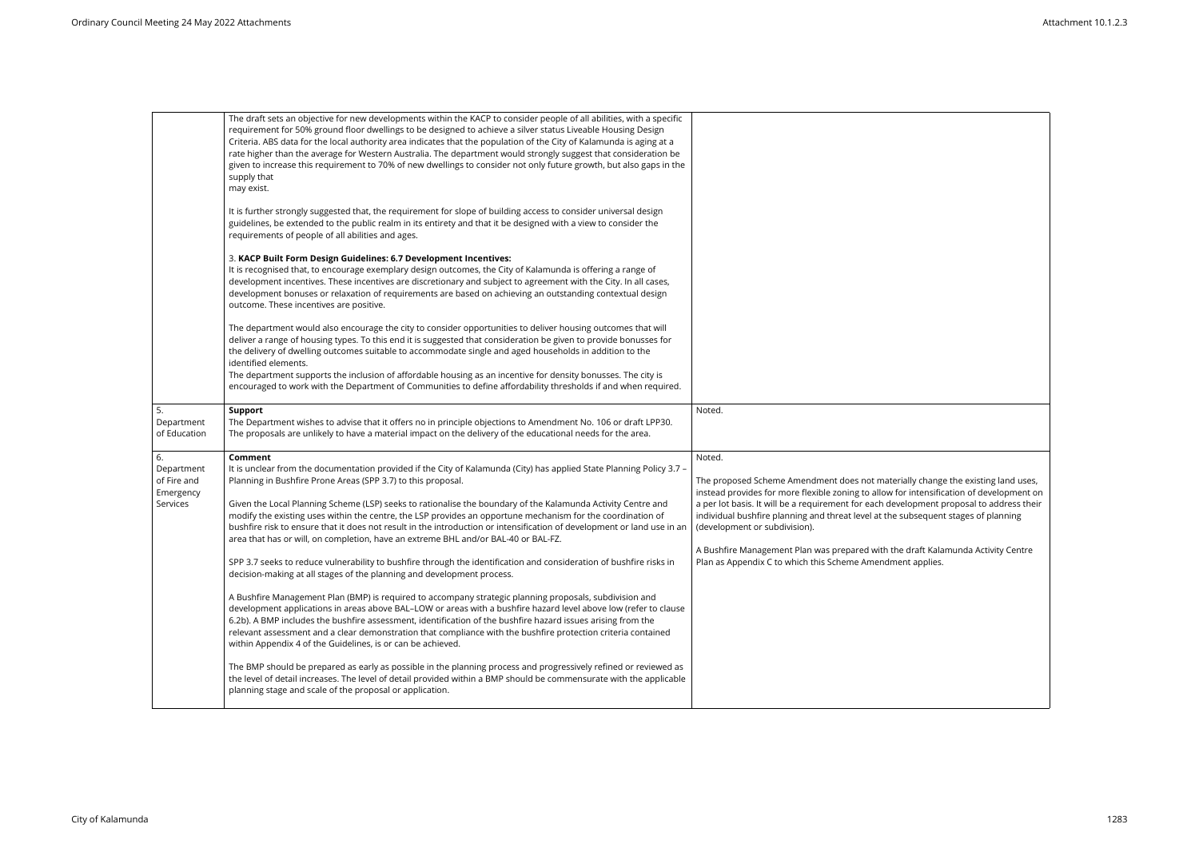|                                                          | The draft sets an objective for new developments within the KACP to consider people of all abilities, with a specific<br>requirement for 50% ground floor dwellings to be designed to achieve a silver status Liveable Housing Design<br>Criteria. ABS data for the local authority area indicates that the population of the City of Kalamunda is aging at a<br>rate higher than the average for Western Australia. The department would strongly suggest that consideration be<br>given to increase this requirement to 70% of new dwellings to consider not only future growth, but also gaps in the<br>supply that<br>may exist.                                                                                                                                                                                                                                                                                                                                                                                                                                                                                                                                                                                                                                                                                                                                                                                                                                                                                                                                                                                        |                                                                                                                                                                                                                                                                                                                                                                                                                                                                                                                                                             |
|----------------------------------------------------------|-----------------------------------------------------------------------------------------------------------------------------------------------------------------------------------------------------------------------------------------------------------------------------------------------------------------------------------------------------------------------------------------------------------------------------------------------------------------------------------------------------------------------------------------------------------------------------------------------------------------------------------------------------------------------------------------------------------------------------------------------------------------------------------------------------------------------------------------------------------------------------------------------------------------------------------------------------------------------------------------------------------------------------------------------------------------------------------------------------------------------------------------------------------------------------------------------------------------------------------------------------------------------------------------------------------------------------------------------------------------------------------------------------------------------------------------------------------------------------------------------------------------------------------------------------------------------------------------------------------------------------|-------------------------------------------------------------------------------------------------------------------------------------------------------------------------------------------------------------------------------------------------------------------------------------------------------------------------------------------------------------------------------------------------------------------------------------------------------------------------------------------------------------------------------------------------------------|
|                                                          | It is further strongly suggested that, the requirement for slope of building access to consider universal design<br>guidelines, be extended to the public realm in its entirety and that it be designed with a view to consider the<br>requirements of people of all abilities and ages.                                                                                                                                                                                                                                                                                                                                                                                                                                                                                                                                                                                                                                                                                                                                                                                                                                                                                                                                                                                                                                                                                                                                                                                                                                                                                                                                    |                                                                                                                                                                                                                                                                                                                                                                                                                                                                                                                                                             |
|                                                          | 3. KACP Built Form Design Guidelines: 6.7 Development Incentives:<br>It is recognised that, to encourage exemplary design outcomes, the City of Kalamunda is offering a range of<br>development incentives. These incentives are discretionary and subject to agreement with the City. In all cases,<br>development bonuses or relaxation of requirements are based on achieving an outstanding contextual design<br>outcome. These incentives are positive.                                                                                                                                                                                                                                                                                                                                                                                                                                                                                                                                                                                                                                                                                                                                                                                                                                                                                                                                                                                                                                                                                                                                                                |                                                                                                                                                                                                                                                                                                                                                                                                                                                                                                                                                             |
|                                                          | The department would also encourage the city to consider opportunities to deliver housing outcomes that will<br>deliver a range of housing types. To this end it is suggested that consideration be given to provide bonusses for<br>the delivery of dwelling outcomes suitable to accommodate single and aged households in addition to the<br>identified elements.<br>The department supports the inclusion of affordable housing as an incentive for density bonusses. The city is<br>encouraged to work with the Department of Communities to define affordability thresholds if and when required.                                                                                                                                                                                                                                                                                                                                                                                                                                                                                                                                                                                                                                                                                                                                                                                                                                                                                                                                                                                                                     |                                                                                                                                                                                                                                                                                                                                                                                                                                                                                                                                                             |
| 5.<br>Department<br>of Education                         | <b>Support</b><br>The Department wishes to advise that it offers no in principle objections to Amendment No. 106 or draft LPP30.<br>The proposals are unlikely to have a material impact on the delivery of the educational needs for the area.                                                                                                                                                                                                                                                                                                                                                                                                                                                                                                                                                                                                                                                                                                                                                                                                                                                                                                                                                                                                                                                                                                                                                                                                                                                                                                                                                                             | Noted.                                                                                                                                                                                                                                                                                                                                                                                                                                                                                                                                                      |
| 6.<br>Department<br>of Fire and<br>Emergency<br>Services | Comment<br>It is unclear from the documentation provided if the City of Kalamunda (City) has applied State Planning Policy 3.7 -<br>Planning in Bushfire Prone Areas (SPP 3.7) to this proposal.<br>Given the Local Planning Scheme (LSP) seeks to rationalise the boundary of the Kalamunda Activity Centre and<br>modify the existing uses within the centre, the LSP provides an opportune mechanism for the coordination of<br>bushfire risk to ensure that it does not result in the introduction or intensification of development or land use in an<br>area that has or will, on completion, have an extreme BHL and/or BAL-40 or BAL-FZ.<br>SPP 3.7 seeks to reduce vulnerability to bushfire through the identification and consideration of bushfire risks in<br>decision-making at all stages of the planning and development process.<br>A Bushfire Management Plan (BMP) is required to accompany strategic planning proposals, subdivision and<br>development applications in areas above BAL-LOW or areas with a bushfire hazard level above low (refer to clause<br>6.2b). A BMP includes the bushfire assessment, identification of the bushfire hazard issues arising from the<br>relevant assessment and a clear demonstration that compliance with the bushfire protection criteria contained<br>within Appendix 4 of the Guidelines, is or can be achieved.<br>The BMP should be prepared as early as possible in the planning process and progressively refined or reviewed as<br>the level of detail increases. The level of detail provided within a BMP should be commensurate with the applicable | Noted.<br>The proposed Scheme Amendment does not materially change the existing land uses,<br>instead provides for more flexible zoning to allow for intensification of development on<br>a per lot basis. It will be a requirement for each development proposal to address their<br>individual bushfire planning and threat level at the subsequent stages of planning<br>(development or subdivision).<br>A Bushfire Management Plan was prepared with the draft Kalamunda Activity Centre<br>Plan as Appendix C to which this Scheme Amendment applies. |
|                                                          | planning stage and scale of the proposal or application.                                                                                                                                                                                                                                                                                                                                                                                                                                                                                                                                                                                                                                                                                                                                                                                                                                                                                                                                                                                                                                                                                                                                                                                                                                                                                                                                                                                                                                                                                                                                                                    |                                                                                                                                                                                                                                                                                                                                                                                                                                                                                                                                                             |